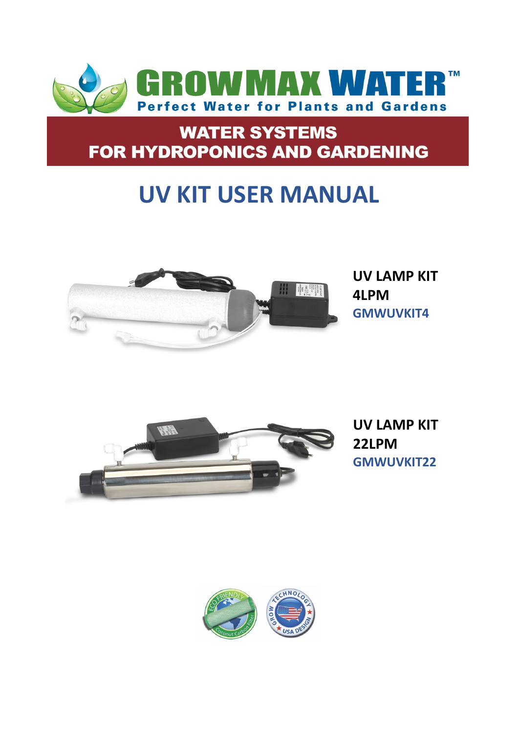

## **WATER SYSTEMS** FOR HYDROPONICS AND GARDENING

# **UV KIT USER MANUAL**



**UV LAMP KIT 4LPM GMWUVKIT4**



**UV LAMP KIT 22LPM GMWUVKIT22**

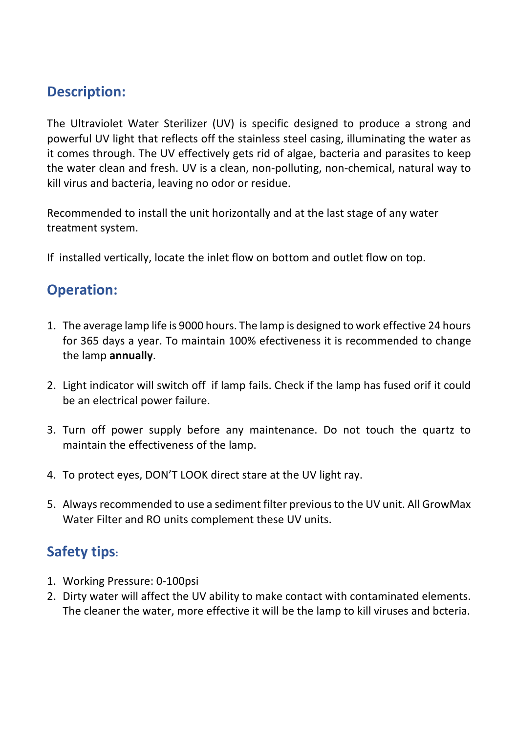#### **Description:**

The Ultraviolet Water Sterilizer (UV) is specific designed to produce a strong and powerful UV light that reflects off the stainless steel casing, illuminating the water as it comes through. The UV effectively gets rid of algae, bacteria and parasites to keep the water clean and fresh. UV is a clean, non-polluting, non-chemical, natural way to kill virus and bacteria, leaving no odor or residue.

Recommended to install the unit horizontally and at the last stage of any water treatment system.

If installed vertically, locate the inlet flow on bottom and outlet flow on top.

#### **Operation:**

- 1. The average lamp life is 9000 hours. The lamp is designed to work effective 24 hours for 365 days a year. To maintain 100% efectiveness it is recommended to change the lamp **annually**.
- 2. Light indicator will switch off if lamp fails. Check if the lamp has fused orif it could be an electrical power failure.
- 3. Turn off power supply before any maintenance. Do not touch the quartz to maintain the effectiveness of the lamp.
- 4. To protect eyes, DON'T LOOK direct stare at the UV light ray.
- 5. Always recommended to use a sediment filter previous to the UV unit. All GrowMax Water Filter and RO units complement these UV units.

### **Safety tips:**

- 1. Working Pressure: 0-100psi
- 2. Dirty water will affect the UV ability to make contact with contaminated elements. The cleaner the water, more effective it will be the lamp to kill viruses and bcteria.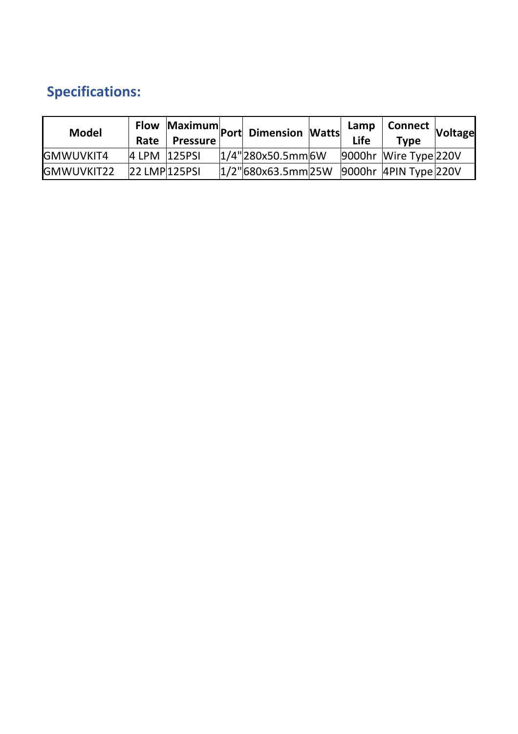## **Specifications:**

| <b>Model</b>      | Rate          | <b>Pressure</b> | Flow Maximum Port Dimension Watts --                 | Lamp<br>Life | p   Connect   Voltage'<br><b>Type</b> |  |
|-------------------|---------------|-----------------|------------------------------------------------------|--------------|---------------------------------------|--|
| <b>GMWUVKIT4</b>  | 4 LPM 125PSI  |                 | $1/4$ "280x50.5mm 6W                                 |              | 9000hr Wire Type 220V                 |  |
| <b>GMWUVKIT22</b> | 22 LMP 125PSI |                 | $ 1/2"$ 680x63.5mm $ 25W $ 9000hr 4PIN Type $ 220V $ |              |                                       |  |